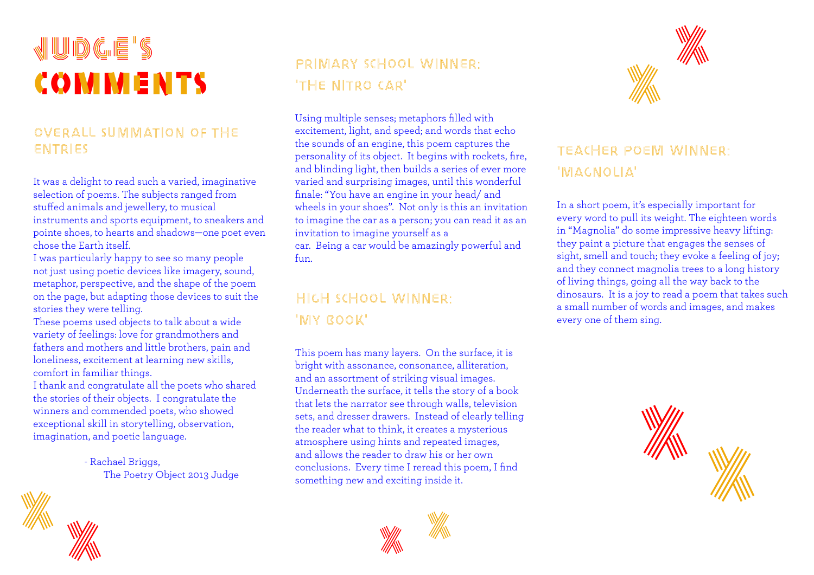# judge's comments comments

#### Overall Summation of the entries

It was a delight to read such a varied, imaginative selection of poems. The subjects ranged from stuffed animals and jewellery, to musical instruments and sports equipment, to sneakers and pointe shoes, to hearts and shadows—one poet even chose the Earth itself.

I was particularly happy to see so many people not just using poetic devices like imagery, sound, metaphor, perspective, and the shape of the poem on the page, but adapting those devices to suit the stories they were telling.

These poems used objects to talk about a wide variety of feelings: love for grandmothers and fathers and mothers and little brothers, pain and loneliness, excitement at learning new skills, comfort in familiar things.

I thank and congratulate all the poets who shared the stories of their objects. I congratulate the winners and commended poets, who showed exceptional skill in storytelling, observation, imagination, and poetic language.

> - Rachael Briggs, The Poetry Object 2013 Judge

# Primary School Winner: 'The Nitro Car'

Using multiple senses; metaphors filled with excitement, light, and speed; and words that echo the sounds of an engine, this poem captures the personality of its object. It begins with rockets, fire, and blinding light, then builds a series of ever more varied and surprising images, until this wonderful finale: "You have an engine in your head/ and wheels in your shoes". Not only is this an invitation to imagine the car as a person; you can read it as an invitation to imagine yourself as a car. Being a car would be amazingly powerful and

fun.

# High school winner: 'MY ROOK'

This poem has many layers. On the surface, it is bright with assonance, consonance, alliteration, and an assortment of striking visual images. Underneath the surface, it tells the story of a book that lets the narrator see through walls, television sets, and dresser drawers. Instead of clearly telling the reader what to think, it creates a mysterious atmosphere using hints and repeated images, and allows the reader to draw his or her own conclusions. Every time I reread this poem, I find something new and exciting inside it.





# teacher poem winner: 'magnolia'

In a short poem, it's especially important for every word to pull its weight. The eighteen words in "Magnolia" do some impressive heavy lifting: they paint a picture that engages the senses of sight, smell and touch; they evoke a feeling of joy; and they connect magnolia trees to a long history of living things, going all the way back to the dinosaurs. It is a joy to read a poem that takes such a small number of words and images, and makes every one of them sing.



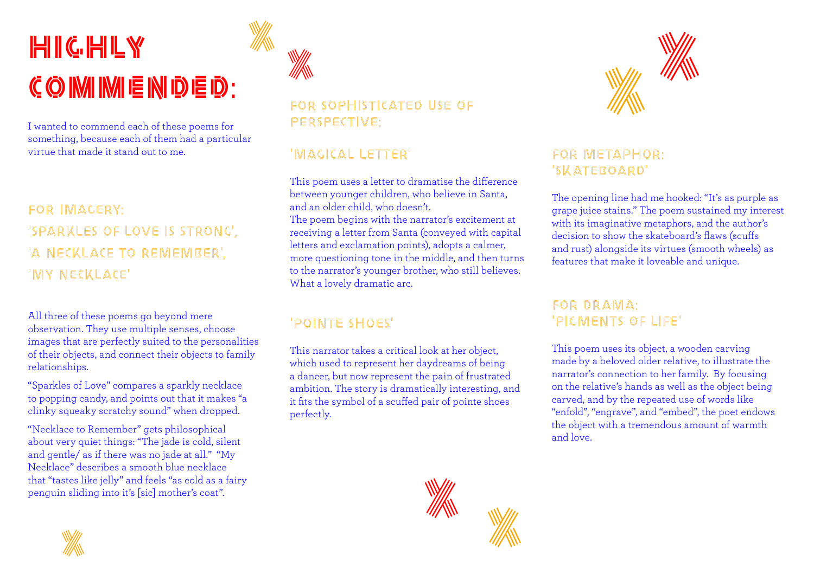# $H$ ighl $G$ .  $H$ i $L$  $\mathcal{C}$   $\odot$  IMI IMI E INI D E D :

I wanted to commend each of these poems for something, because each of them had a particular virtue that made it stand out to me.

# For imagery: 'Sparkles of love is strong', 'A NECKLACE TO REMEMBER', 'my necklace'

All three of these poems go beyond mere observation. They use multiple senses, choose images that are perfectly suited to the personalities of their objects, and connect their objects to family relationships.

"Sparkles of Love" compares a sparkly necklace to popping candy, and points out that it makes "a clinky squeaky scratchy sound" when dropped.

"Necklace to Remember" gets philosophical about very quiet things: "The jade is cold, silent and gentle/ as if there was no jade at all." "My Necklace" describes a smooth blue necklace that "tastes like jelly" and feels "as cold as a fairy penguin sliding into it's [sic] mother's coat".



X

# FOR SOPHISTICATED USE OF perspective:

### 'magical letter'

This poem uses a letter to dramatise the difference between younger children, who believe in Santa, and an older child, who doesn't. The poem begins with the narrator's excitement at receiving a letter from Santa (conveyed with capital letters and exclamation points), adopts a calmer, more questioning tone in the middle, and then turns to the narrator's younger brother, who still believes. What a lovely dramatic arc.

# 'pointe shoes'

This narrator takes a critical look at her object, which used to represent her daydreams of being a dancer, but now represent the pain of frustrated ambition. The story is dramatically interesting, and it fits the symbol of a scuffed pair of pointe shoes perfectly.





### For metaphor: 'SKATEBOARD'

The opening line had me hooked: "It's as purple as grape juice stains." The poem sustained my interest with its imaginative metaphors, and the author's decision to show the skateboard's flaws (scuffs and rust) alongside its virtues (smooth wheels) as features that make it loveable and unique.

#### For drama: 'pigments of life'

This poem uses its object, a wooden carving made by a beloved older relative, to illustrate the narrator's connection to her family. By focusing on the relative's hands as well as the object being carved, and by the repeated use of words like "enfold", "engrave", and "embed", the poet endows the object with a tremendous amount of warmth and love.